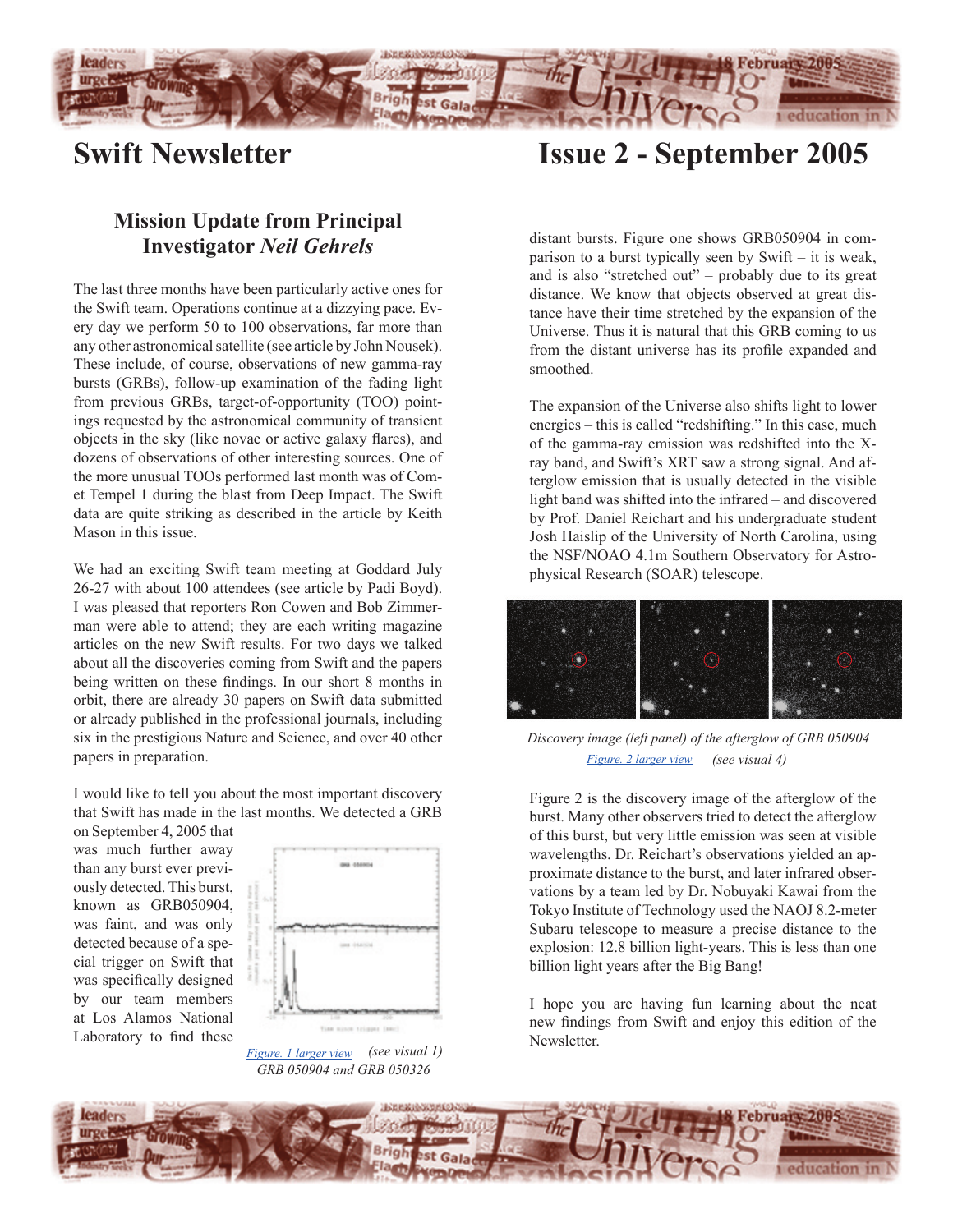

# **Swift Newsletter**

## **Mission Update from Principal Investigator** *Neil Gehrels*

The last three months have been particularly active ones for the Swift team. Operations continue at a dizzying pace. Every day we perform 50 to 100 observations, far more than any other astronomical satellite (see article by John Nousek). These include, of course, observations of new gamma-ray bursts (GRBs), follow-up examination of the fading light from previous GRBs, target-of-opportunity (TOO) pointings requested by the astronomical community of transient objects in the sky (like novae or active galaxy flares), and dozens of observations of other interesting sources. One of the more unusual TOOs performed last month was of Comet Tempel 1 during the blast from Deep Impact. The Swift data are quite striking as described in the article by Keith Mason in this issue.

We had an exciting Swift team meeting at Goddard July 26-27 with about 100 attendees (see article by Padi Boyd). I was pleased that reporters Ron Cowen and Bob Zimmerman were able to attend; they are each writing magazine articles on the new Swift results. For two days we talked about all the discoveries coming from Swift and the papers being written on these findings. In our short 8 months in orbit, there are already 30 papers on Swift data submitted or already published in the professional journals, including six in the prestigious Nature and Science, and over 40 other papers in preparation.

I would like to tell you about the most important discovery that Swift has made in the last months. We detected a GRB

on September 4, 2005 that was much further away than any burst ever previously detected. This burst, known as GRB050904, was faint, and was only detected because of a special trigger on Swift that was specifically designed by our team members at Los Alamos National Laboratory to find these



*[Figure. 1 larger view](http://www.nasa.gov/vision/universe/starsgalaxies/2005_distant_grb.html) (see visual 1) GRB 050904 and GRB 050326*

**Issue 2 - September 2005**

distant bursts. Figure one shows GRB050904 in comparison to a burst typically seen by Swift – it is weak, and is also "stretched out" – probably due to its great distance. We know that objects observed at great distance have their time stretched by the expansion of the Universe. Thus it is natural that this GRB coming to us from the distant universe has its profile expanded and smoothed.

The expansion of the Universe also shifts light to lower energies – this is called "redshifting." In this case, much of the gamma-ray emission was redshifted into the Xray band, and Swift's XRT saw a strong signal. And afterglow emission that is usually detected in the visible light band was shifted into the infrared – and discovered by Prof. Daniel Reichart and his undergraduate student Josh Haislip of the University of North Carolina, using the NSF/NOAO 4.1m Southern Observatory for Astrophysical Research (SOAR) telescope.



*Discovery image (left panel) of the afterglow of GRB 050904 Figure. 2 l[arger view](http://www.nasa.gov/vision/universe/starsgalaxies/2005_distant_grb.html) (see visual 4)*

Figure 2 is the discovery image of the afterglow of the burst. Many other observers tried to detect the afterglow of this burst, but very little emission was seen at visible wavelengths. Dr. Reichart's observations yielded an approximate distance to the burst, and later infrared observations by a team led by Dr. Nobuyaki Kawai from the Tokyo Institute of Technology used the NAOJ 8.2-meter Subaru telescope to measure a precise distance to the explosion: 12.8 billion light-years. This is less than one billion light years after the Big Bang!

I hope you are having fun learning about the neat new findings from Swift and enjoy this edition of the Newsletter.

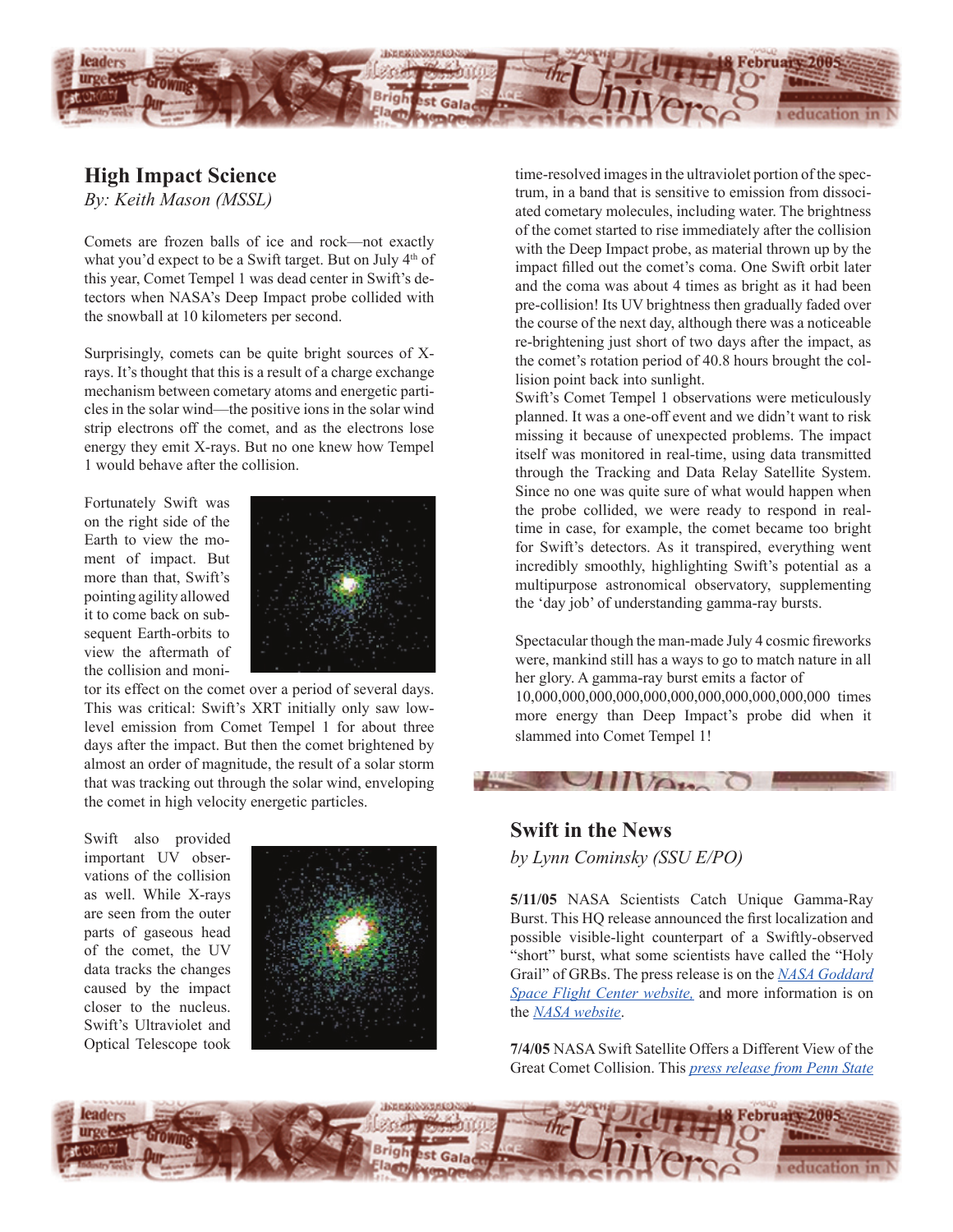

### **High Impact Science**

*By: Keith Mason (MSSL)*

Comets are frozen balls of ice and rock—not exactly what you'd expect to be a Swift target. But on July 4<sup>th</sup> of this year, Comet Tempel 1 was dead center in Swift's detectors when NASA's Deep Impact probe collided with the snowball at 10 kilometers per second.

Surprisingly, comets can be quite bright sources of Xrays. It's thought that this is a result of a charge exchange mechanism between cometary atoms and energetic particles in the solar wind—the positive ions in the solar wind strip electrons off the comet, and as the electrons lose energy they emit X-rays. But no one knew how Tempel 1 would behave after the collision.

Fortunately Swift was on the right side of the Earth to view the moment of impact. But more than that, Swift's pointing agility allowed it to come back on subsequent Earth-orbits to view the aftermath of the collision and moni-



tor its effect on the comet over a period of several days. This was critical: Swift's XRT initially only saw lowlevel emission from Comet Tempel 1 for about three days after the impact. But then the comet brightened by almost an order of magnitude, the result of a solar storm that was tracking out through the solar wind, enveloping the comet in high velocity energetic particles.

Swift also provided important UV observations of the collision as well. While X-rays are seen from the outer parts of gaseous head of the comet, the UV data tracks the changes caused by the impact closer to the nucleus. Swift's Ultraviolet and Optical Telescope took



time-resolved images in the ultraviolet portion of the spectrum, in a band that is sensitive to emission from dissociated cometary molecules, including water. The brightness of the comet started to rise immediately after the collision with the Deep Impact probe, as material thrown up by the impact filled out the comet's coma. One Swift orbit later and the coma was about 4 times as bright as it had been pre-collision! Its UV brightness then gradually faded over the course of the next day, although there was a noticeable re-brightening just short of two days after the impact, as the comet's rotation period of 40.8 hours brought the collision point back into sunlight.

Swift's Comet Tempel 1 observations were meticulously planned. It was a one-off event and we didn't want to risk missing it because of unexpected problems. The impact itself was monitored in real-time, using data transmitted through the Tracking and Data Relay Satellite System. Since no one was quite sure of what would happen when the probe collided, we were ready to respond in realtime in case, for example, the comet became too bright for Swift's detectors. As it transpired, everything went incredibly smoothly, highlighting Swift's potential as a multipurpose astronomical observatory, supplementing the 'day job' of understanding gamma-ray bursts.

Spectacular though the man-made July 4 cosmic fireworks were, mankind still has a ways to go to match nature in all her glory. A gamma-ray burst emits a factor of 10,000,000,000,000,000,000,000,000,000,000,000 times more energy than Deep Impact's probe did when it slammed into Comet Tempel 1!

### **Swift in the News**

*by Lynn Cominsky (SSU E/PO)*

**CONTACT** 

**5/11/05** NASA Scientists Catch Unique Gamma-Ray Burst. This HQ release announced the first localization and possible visible-light counterpart of a Swiftly-observed "short" burst, what some scientists have called the "Holy Grail" of GRBs. The press release is on the *[NASA Goddard](http://swift.gsfc.nasa.gov/docs/swift/news/2005/05-122.html) [Space Flight Center website,](http://swift.gsfc.nasa.gov/docs/swift/news/2005/05-122.html)* and more information is on the *[NASA website](http://www.nasa.gov/vision/universe/watchtheskies/short_burst.html)*.

**7/4/05** NASA Swift Satellite Offers a Different View of the Great Comet Collision. This *[press release from Penn State](http://www.science.psu.edu/alert/Swift-Deep-Impact.htm#4July)*

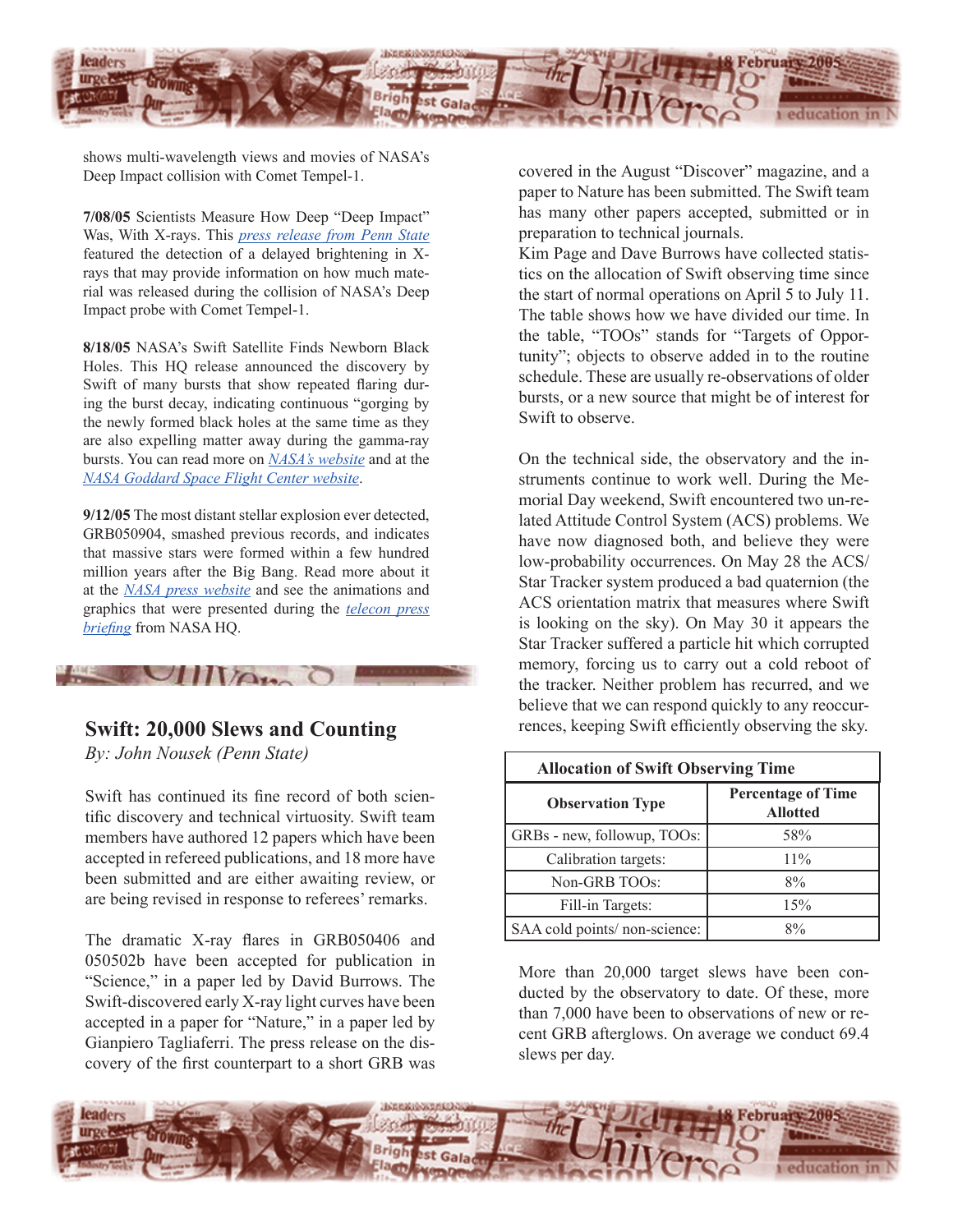

shows multi-wavelength views and movies of NASA's Deep Impact collision with Comet Tempel-1.

**7/08/05** Scientists Measure How Deep "Deep Impact" Was, With X-rays. This *[press release from Penn](http://www.science.psu.edu/alert/Swift-Deep-Impact.htm) State*  featured the detection of a delayed brightening in Xrays that may provide information on how much material was released during the collision of NASA's Deep Impact probe with Comet Tempel-1.

**8/18/05** NASA's Swift Satellite Finds Newborn Black Holes. This HQ release announced the discovery by Swift of many bursts that show repeated flaring during the burst decay, indicating continuous "gorging by the newly formed black holes at the same time as they are also expelling matter away during the gamma-ray bursts. You can read more on *[NASA's website](http://www.nasa.gov/vision/universe/watchtheskies/double_burst.html)* and at the *[NASA Goddard Space Flight Center website](http://swift.gsfc.nasa.gov/docs/swift/news/2005/05-229.html)*.

**9/12/05** The most distant stellar explosion ever detected, GRB050904, smashed previous records, and indicates that massive stars were formed within a few hundred million years after the Big Bang. Read more about it at the *[NASA press website](http://swift.gsfc.nasa.gov/docs/swift/news/2005/05-259.html)* and see the animations and graphics that were presented during the *[telecon press](http://www.nasa.gov/vision/universe/starsgalaxies/2005_distant_grb.html)  [briefing](http://www.nasa.gov/vision/universe/starsgalaxies/2005_distant_grb.html)* from NASA HQ.

# $U_{\rm HWA}$

### **Swift: 20,000 Slews and Counting**

*By: John Nousek (Penn State)*

Swift has continued its fine record of both scientific discovery and technical virtuosity. Swift team members have authored 12 papers which have been accepted in refereed publications, and 18 more have been submitted and are either awaiting review, or are being revised in response to referees' remarks.

The dramatic X-ray flares in GRB050406 and 050502b have been accepted for publication in "Science," in a paper led by David Burrows. The Swift-discovered early X-ray light curves have been accepted in a paper for "Nature," in a paper led by Gianpiero Tagliaferri. The press release on the discovery of the first counterpart to a short GRB was

covered in the August "Discover" magazine, and a paper to Nature has been submitted. The Swift team has many other papers accepted, submitted or in preparation to technical journals.

Kim Page and Dave Burrows have collected statistics on the allocation of Swift observing time since the start of normal operations on April 5 to July 11. The table shows how we have divided our time. In the table, "TOOs" stands for "Targets of Opportunity"; objects to observe added in to the routine schedule. These are usually re-observations of older bursts, or a new source that might be of interest for Swift to observe.

On the technical side, the observatory and the instruments continue to work well. During the Memorial Day weekend, Swift encountered two un-related Attitude Control System (ACS) problems. We have now diagnosed both, and believe they were low-probability occurrences. On May 28 the ACS/ Star Tracker system produced a bad quaternion (the ACS orientation matrix that measures where Swift is looking on the sky). On May 30 it appears the Star Tracker suffered a particle hit which corrupted memory, forcing us to carry out a cold reboot of the tracker. Neither problem has recurred, and we believe that we can respond quickly to any reoccurrences, keeping Swift efficiently observing the sky.

| <b>Allocation of Swift Observing Time</b> |                                              |
|-------------------------------------------|----------------------------------------------|
| <b>Observation Type</b>                   | <b>Percentage of Time</b><br><b>Allotted</b> |
| GRBs - new, followup, TOOs:               | 58%                                          |
| Calibration targets:                      | $11\%$                                       |
| Non-GRB TOOs:                             | 8%                                           |
| Fill-in Targets:                          | 15%                                          |
| SAA cold points/ non-science:             | $8\%$                                        |

More than 20,000 target slews have been conducted by the observatory to date. Of these, more than 7,000 have been to observations of new or recent GRB afterglows. On average we conduct 69.4 slews per day.

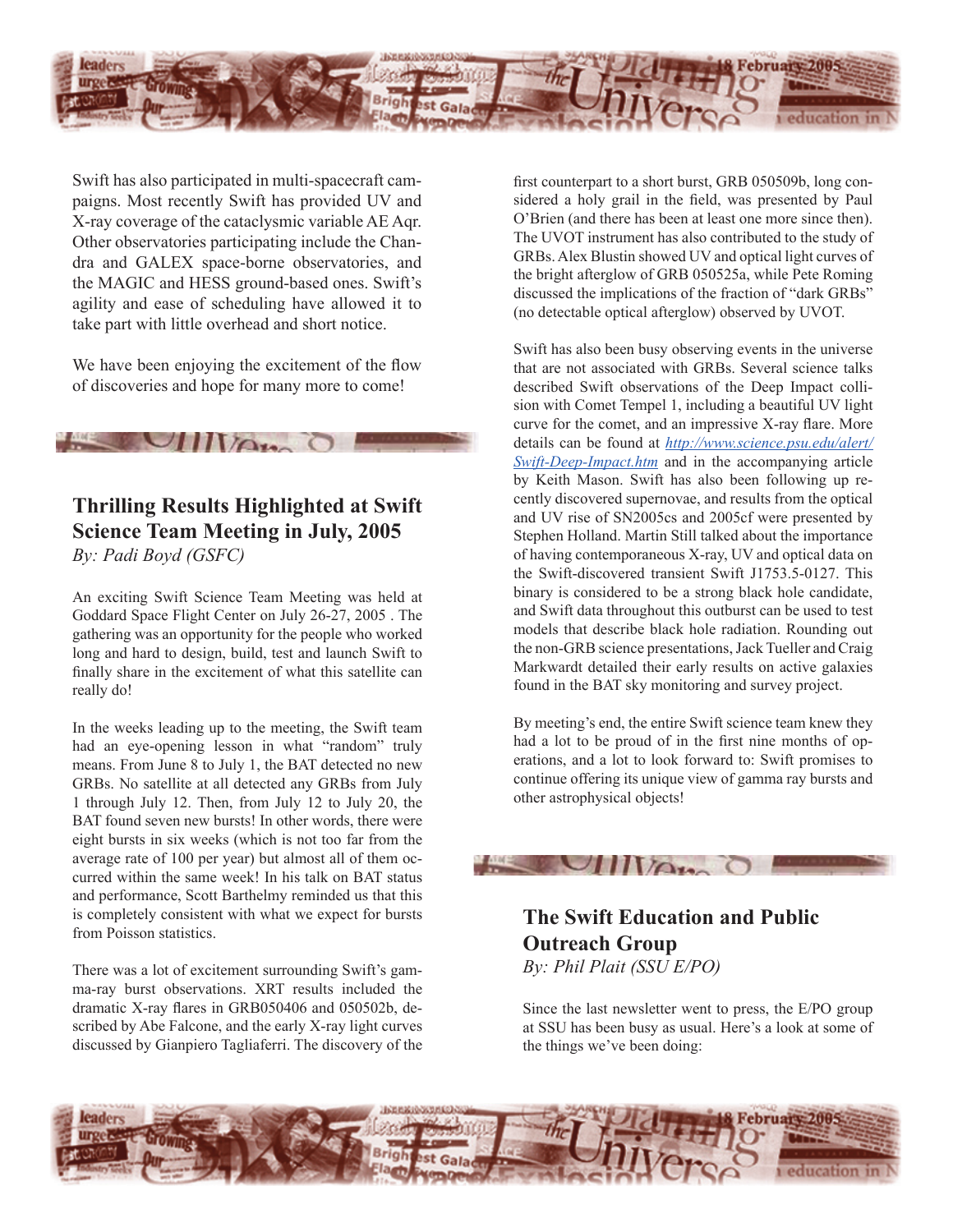

Swift has also participated in multi-spacecraft campaigns. Most recently Swift has provided UV and X-ray coverage of the cataclysmic variable AE Aqr. Other observatories participating include the Chandra and GALEX space-borne observatories, and the MAGIC and HESS ground-based ones. Swift's agility and ease of scheduling have allowed it to take part with little overhead and short notice.

We have been enjoying the excitement of the flow of discoveries and hope for many more to come!

 $U\cup U$ 

### **Thrilling Results Highlighted at Swift Science Team Meeting in July, 2005** *By: Padi Boyd (GSFC)*

An exciting Swift Science Team Meeting was held at Goddard Space Flight Center on July 26-27, 2005 . The gathering was an opportunity for the people who worked long and hard to design, build, test and launch Swift to finally share in the excitement of what this satellite can really do!

In the weeks leading up to the meeting, the Swift team had an eye-opening lesson in what "random" truly means. From June 8 to July 1, the BAT detected no new GRBs. No satellite at all detected any GRBs from July 1 through July 12. Then, from July 12 to July 20, the BAT found seven new bursts! In other words, there were eight bursts in six weeks (which is not too far from the average rate of 100 per year) but almost all of them occurred within the same week! In his talk on BAT status and performance, Scott Barthelmy reminded us that this is completely consistent with what we expect for bursts from Poisson statistics.

There was a lot of excitement surrounding Swift's gamma-ray burst observations. XRT results included the dramatic X-ray flares in GRB050406 and 050502b, described by Abe Falcone, and the early X-ray light curves discussed by Gianpiero Tagliaferri. The discovery of the first counterpart to a short burst, GRB 050509b, long considered a holy grail in the field, was presented by Paul O'Brien (and there has been at least one more since then). The UVOT instrument has also contributed to the study of GRBs. Alex Blustin showed UV and optical light curves of the bright afterglow of GRB 050525a, while Pete Roming discussed the implications of the fraction of "dark GRBs" (no detectable optical afterglow) observed by UVOT.

Swift has also been busy observing events in the universe that are not associated with GRBs. Several science talks described Swift observations of the Deep Impact collision with Comet Tempel 1, including a beautiful UV light curve for the comet, and an impressive X-ray flare. More details can be found at *[http://www.science.psu.edu/alert/](http://www.science.psu.edu/alert/Swift-Deep-Impact.htm) [Swift-Deep-Impact.htm](http://www.science.psu.edu/alert/Swift-Deep-Impact.htm)* and in the accompanying article by Keith Mason. Swift has also been following up recently discovered supernovae, and results from the optical and UV rise of SN2005cs and 2005cf were presented by Stephen Holland. Martin Still talked about the importance of having contemporaneous X-ray, UV and optical data on the Swift-discovered transient Swift J1753.5-0127. This binary is considered to be a strong black hole candidate, and Swift data throughout this outburst can be used to test models that describe black hole radiation. Rounding out the non-GRB science presentations, Jack Tueller and Craig Markwardt detailed their early results on active galaxies found in the BAT sky monitoring and survey project.

By meeting's end, the entire Swift science team knew they had a lot to be proud of in the first nine months of operations, and a lot to look forward to: Swift promises to continue offering its unique view of gamma ray bursts and other astrophysical objects!



**The Swift Education and Public Outreach Group** *By: Phil Plait (SSU E/PO)*

Since the last newsletter went to press, the E/PO group at SSU has been busy as usual. Here's a look at some of the things we've been doing: